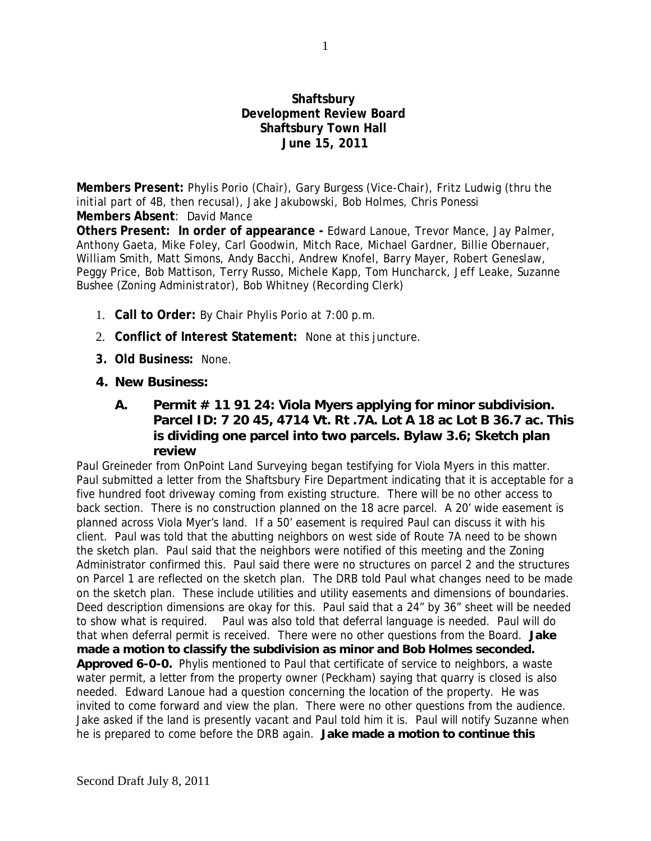#### **Shaftsbury Development Review Board Shaftsbury Town Hall June 15, 2011**

**Members Present:** Phylis Porio (Chair), Gary Burgess (Vice-Chair), Fritz Ludwig (thru the initial part of 4B, then recusal), Jake Jakubowski, Bob Holmes, Chris Ponessi **Members Absent**: David Mance

**Others Present: In order of appearance -** Edward Lanoue, Trevor Mance, Jay Palmer, Anthony Gaeta, Mike Foley, Carl Goodwin, Mitch Race, Michael Gardner, Billie Obernauer, William Smith, Matt Simons, Andy Bacchi, Andrew Knofel, Barry Mayer, Robert Geneslaw, Peggy Price, Bob Mattison, Terry Russo, Michele Kapp, Tom Huncharck, Jeff Leake, Suzanne Bushee (Zoning Administrator), Bob Whitney (Recording Clerk)

- 1. **Call to Order:** By Chair Phylis Porio at 7:00 p.m.
- 2. **Conflict of Interest Statement:** None at this juncture.
- **3. Old Business:** None.
- **4. New Business:**

### **A. Permit # 11 91 24: Viola Myers applying for minor subdivision. Parcel ID: 7 20 45, 4714 Vt. Rt .7A. Lot A 18 ac Lot B 36.7 ac. This is dividing one parcel into two parcels. Bylaw 3.6; Sketch plan review**

Paul Greineder from OnPoint Land Surveying began testifying for Viola Myers in this matter. Paul submitted a letter from the Shaftsbury Fire Department indicating that it is acceptable for a five hundred foot driveway coming from existing structure. There will be no other access to back section. There is no construction planned on the 18 acre parcel. A 20' wide easement is planned across Viola Myer's land. If a 50' easement is required Paul can discuss it with his client. Paul was told that the abutting neighbors on west side of Route 7A need to be shown the sketch plan. Paul said that the neighbors were notified of this meeting and the Zoning Administrator confirmed this. Paul said there were no structures on parcel 2 and the structures on Parcel 1 are reflected on the sketch plan. The DRB told Paul what changes need to be made on the sketch plan. These include utilities and utility easements and dimensions of boundaries. Deed description dimensions are okay for this. Paul said that a 24" by 36" sheet will be needed to show what is required. Paul was also told that deferral language is needed. Paul will do that when deferral permit is received. There were no other questions from the Board. **Jake made a motion to classify the subdivision as minor and Bob Holmes seconded. Approved 6-0-0.** Phylis mentioned to Paul that certificate of service to neighbors, a waste water permit, a letter from the property owner (Peckham) saying that quarry is closed is also needed. Edward Lanoue had a question concerning the location of the property. He was invited to come forward and view the plan. There were no other questions from the audience. Jake asked if the land is presently vacant and Paul told him it is. Paul will notify Suzanne when he is prepared to come before the DRB again. **Jake made a motion to continue this**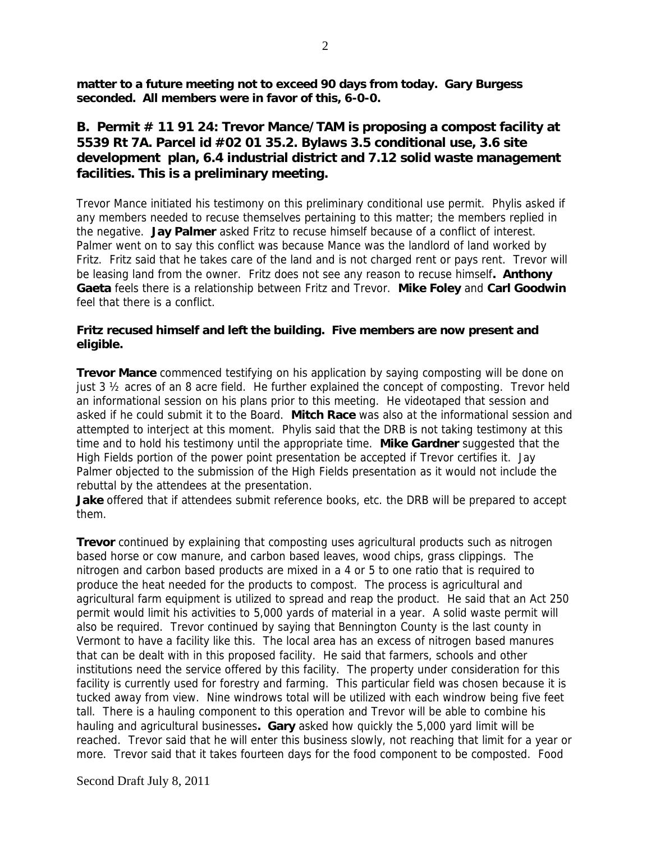**matter to a future meeting not to exceed 90 days from today. Gary Burgess seconded. All members were in favor of this, 6-0-0.** 

## **B. Permit # 11 91 24: Trevor Mance/TAM is proposing a compost facility at 5539 Rt 7A. Parcel id #02 01 35.2. Bylaws 3.5 conditional use, 3.6 site development plan, 6.4 industrial district and 7.12 solid waste management facilities. This is a preliminary meeting.**

Trevor Mance initiated his testimony on this preliminary conditional use permit. Phylis asked if any members needed to recuse themselves pertaining to this matter; the members replied in the negative. **Jay Palmer** asked Fritz to recuse himself because of a conflict of interest. Palmer went on to say this conflict was because Mance was the landlord of land worked by Fritz. Fritz said that he takes care of the land and is not charged rent or pays rent. Trevor will be leasing land from the owner. Fritz does not see any reason to recuse himself**. Anthony Gaeta** feels there is a relationship between Fritz and Trevor. **Mike Foley** and **Carl Goodwin** feel that there is a conflict.

#### **Fritz recused himself and left the building. Five members are now present and eligible.**

**Trevor Mance** commenced testifying on his application by saying composting will be done on just 3 ½ acres of an 8 acre field. He further explained the concept of composting. Trevor held an informational session on his plans prior to this meeting. He videotaped that session and asked if he could submit it to the Board. **Mitch Race** was also at the informational session and attempted to interject at this moment. Phylis said that the DRB is not taking testimony at this time and to hold his testimony until the appropriate time. **Mike Gardner** suggested that the High Fields portion of the power point presentation be accepted if Trevor certifies it. Jay Palmer objected to the submission of the High Fields presentation as it would not include the rebuttal by the attendees at the presentation.

**Jake** offered that if attendees submit reference books, etc. the DRB will be prepared to accept them.

**Trevor** continued by explaining that composting uses agricultural products such as nitrogen based horse or cow manure, and carbon based leaves, wood chips, grass clippings. The nitrogen and carbon based products are mixed in a 4 or 5 to one ratio that is required to produce the heat needed for the products to compost. The process is agricultural and agricultural farm equipment is utilized to spread and reap the product. He said that an Act 250 permit would limit his activities to 5,000 yards of material in a year. A solid waste permit will also be required. Trevor continued by saying that Bennington County is the last county in Vermont to have a facility like this. The local area has an excess of nitrogen based manures that can be dealt with in this proposed facility. He said that farmers, schools and other institutions need the service offered by this facility. The property under consideration for this facility is currently used for forestry and farming. This particular field was chosen because it is tucked away from view. Nine windrows total will be utilized with each windrow being five feet tall. There is a hauling component to this operation and Trevor will be able to combine his hauling and agricultural businesses**. Gary** asked how quickly the 5,000 yard limit will be reached. Trevor said that he will enter this business slowly, not reaching that limit for a year or more. Trevor said that it takes fourteen days for the food component to be composted. Food

Second Draft July 8, 2011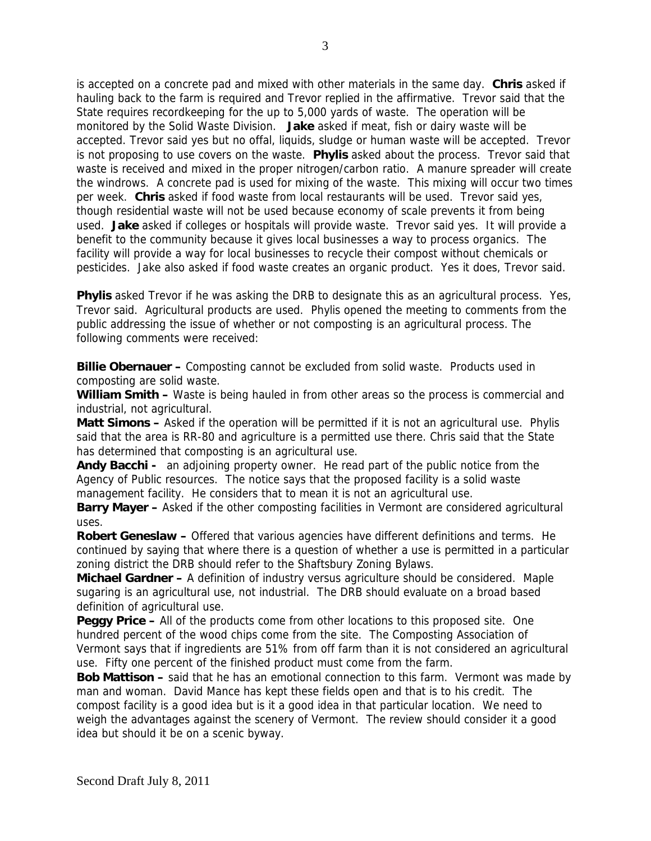is accepted on a concrete pad and mixed with other materials in the same day. **Chris** asked if hauling back to the farm is required and Trevor replied in the affirmative. Trevor said that the State requires recordkeeping for the up to 5,000 yards of waste. The operation will be monitored by the Solid Waste Division. **Jake** asked if meat, fish or dairy waste will be accepted. Trevor said yes but no offal, liquids, sludge or human waste will be accepted. Trevor is not proposing to use covers on the waste. **Phylis** asked about the process. Trevor said that waste is received and mixed in the proper nitrogen/carbon ratio. A manure spreader will create the windrows. A concrete pad is used for mixing of the waste. This mixing will occur two times per week. **Chris** asked if food waste from local restaurants will be used. Trevor said yes, though residential waste will not be used because economy of scale prevents it from being used. **Jake** asked if colleges or hospitals will provide waste. Trevor said yes. It will provide a benefit to the community because it gives local businesses a way to process organics. The facility will provide a way for local businesses to recycle their compost without chemicals or pesticides. Jake also asked if food waste creates an organic product. Yes it does, Trevor said.

**Phylis** asked Trevor if he was asking the DRB to designate this as an agricultural process. Yes, Trevor said. Agricultural products are used. Phylis opened the meeting to comments from the public addressing the issue of whether or not composting is an agricultural process. The following comments were received:

**Billie Obernauer –** Composting cannot be excluded from solid waste. Products used in composting are solid waste.

**William Smith –** Waste is being hauled in from other areas so the process is commercial and industrial, not agricultural.

**Matt Simons –** Asked if the operation will be permitted if it is not an agricultural use. Phylis said that the area is RR-80 and agriculture is a permitted use there. Chris said that the State has determined that composting is an agricultural use.

**Andy Bacchi -** an adjoining property owner. He read part of the public notice from the Agency of Public resources. The notice says that the proposed facility is a solid waste management facility. He considers that to mean it is not an agricultural use.

**Barry Mayer –** Asked if the other composting facilities in Vermont are considered agricultural uses.

**Robert Geneslaw –** Offered that various agencies have different definitions and terms. He continued by saying that where there is a question of whether a use is permitted in a particular zoning district the DRB should refer to the Shaftsbury Zoning Bylaws.

**Michael Gardner –** A definition of industry versus agriculture should be considered. Maple sugaring is an agricultural use, not industrial. The DRB should evaluate on a broad based definition of agricultural use.

**Peggy Price –** All of the products come from other locations to this proposed site. One hundred percent of the wood chips come from the site. The Composting Association of Vermont says that if ingredients are 51% from off farm than it is not considered an agricultural use. Fifty one percent of the finished product must come from the farm.

**Bob Mattison –** said that he has an emotional connection to this farm. Vermont was made by man and woman. David Mance has kept these fields open and that is to his credit. The compost facility is a good idea but is it a good idea in that particular location. We need to weigh the advantages against the scenery of Vermont. The review should consider it a good idea but should it be on a scenic byway.